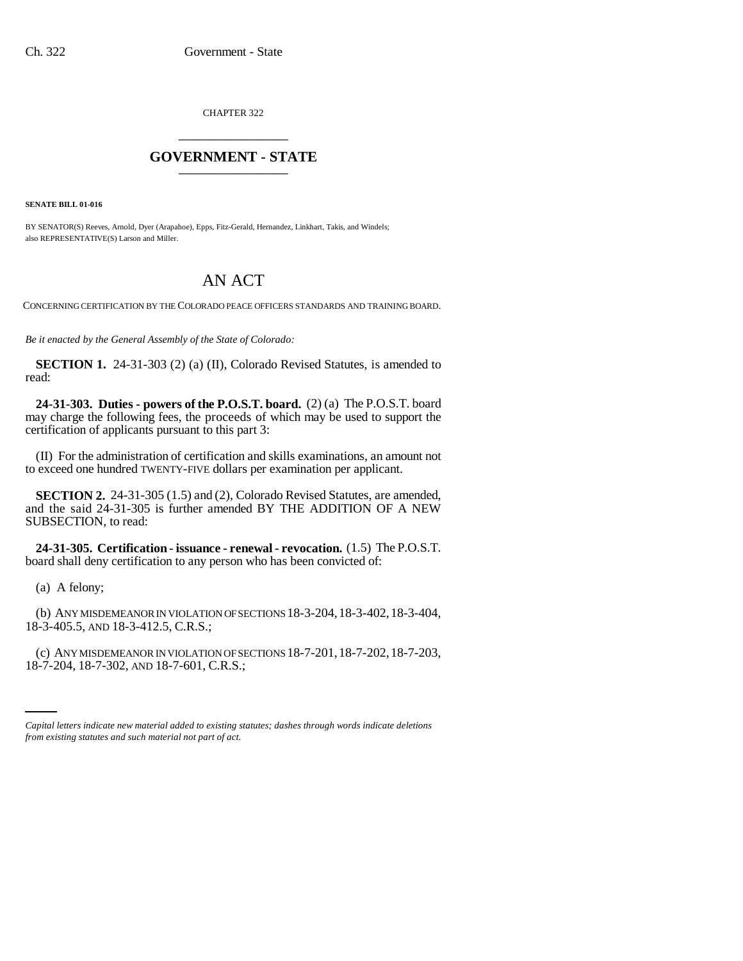CHAPTER 322 \_\_\_\_\_\_\_\_\_\_\_\_\_\_\_

## **GOVERNMENT - STATE** \_\_\_\_\_\_\_\_\_\_\_\_\_\_\_

**SENATE BILL 01-016**

BY SENATOR(S) Reeves, Arnold, Dyer (Arapahoe), Epps, Fitz-Gerald, Hernandez, Linkhart, Takis, and Windels; also REPRESENTATIVE(S) Larson and Miller.

## AN ACT

CONCERNING CERTIFICATION BY THE COLORADO PEACE OFFICERS STANDARDS AND TRAINING BOARD.

*Be it enacted by the General Assembly of the State of Colorado:*

**SECTION 1.** 24-31-303 (2) (a) (II), Colorado Revised Statutes, is amended to read:

**24-31-303. Duties - powers of the P.O.S.T. board.** (2) (a) The P.O.S.T. board may charge the following fees, the proceeds of which may be used to support the certification of applicants pursuant to this part 3:

(II) For the administration of certification and skills examinations, an amount not to exceed one hundred TWENTY-FIVE dollars per examination per applicant.

**SECTION 2.** 24-31-305 (1.5) and (2), Colorado Revised Statutes, are amended, and the said 24-31-305 is further amended BY THE ADDITION OF A NEW SUBSECTION, to read:

**24-31-305. Certification - issuance - renewal - revocation.** (1.5) The P.O.S.T. board shall deny certification to any person who has been convicted of:

(a) A felony;

(b) ANY MISDEMEANOR IN VIOLATION OF SECTIONS 18-3-204,18-3-402,18-3-404, 18-3-405.5, AND 18-3-412.5, C.R.S.;

(c) ANY MISDEMEANOR IN VIOLATION OF SECTIONS 18-7-201,18-7-202,18-7-203, 18-7-204, 18-7-302, AND 18-7-601, C.R.S.;

*Capital letters indicate new material added to existing statutes; dashes through words indicate deletions from existing statutes and such material not part of act.*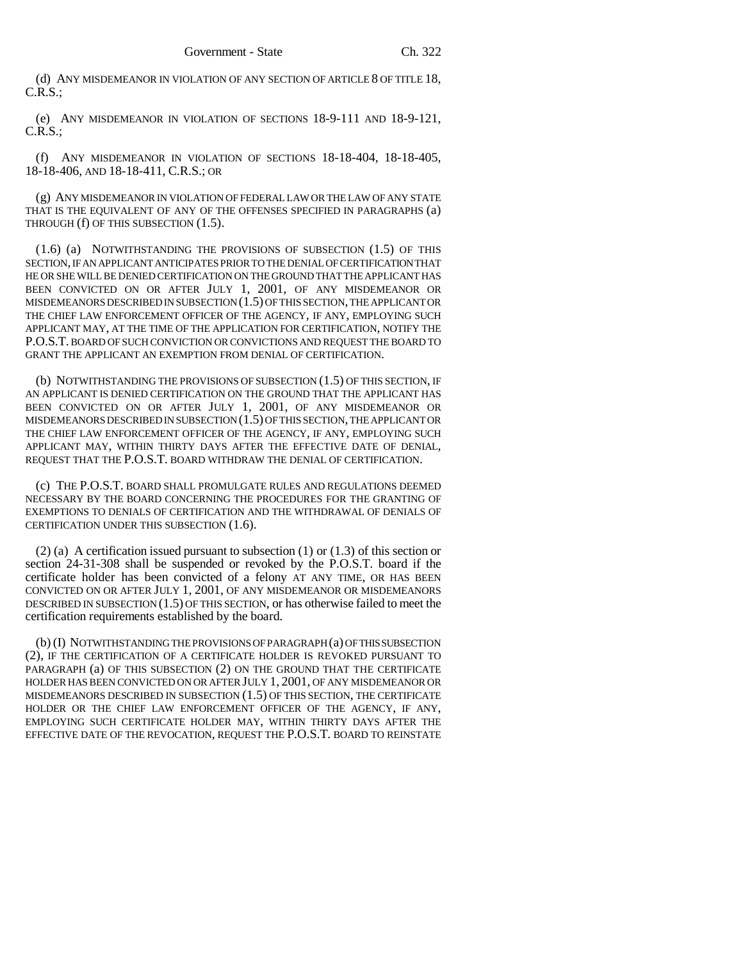(d) ANY MISDEMEANOR IN VIOLATION OF ANY SECTION OF ARTICLE 8 OF TITLE 18, C.R.S.;

(e) ANY MISDEMEANOR IN VIOLATION OF SECTIONS 18-9-111 AND 18-9-121, C.R.S.;

(f) ANY MISDEMEANOR IN VIOLATION OF SECTIONS 18-18-404, 18-18-405, 18-18-406, AND 18-18-411, C.R.S.; OR

(g) ANY MISDEMEANOR IN VIOLATION OF FEDERAL LAW OR THE LAW OF ANY STATE THAT IS THE EQUIVALENT OF ANY OF THE OFFENSES SPECIFIED IN PARAGRAPHS (a) THROUGH (f) OF THIS SUBSECTION (1.5).

(1.6) (a) NOTWITHSTANDING THE PROVISIONS OF SUBSECTION (1.5) OF THIS SECTION, IF AN APPLICANT ANTICIPATES PRIOR TO THE DENIAL OF CERTIFICATION THAT HE OR SHE WILL BE DENIED CERTIFICATION ON THE GROUND THAT THE APPLICANT HAS BEEN CONVICTED ON OR AFTER JULY 1, 2001, OF ANY MISDEMEANOR OR MISDEMEANORS DESCRIBED IN SUBSECTION (1.5) OF THIS SECTION, THE APPLICANT OR THE CHIEF LAW ENFORCEMENT OFFICER OF THE AGENCY, IF ANY, EMPLOYING SUCH APPLICANT MAY, AT THE TIME OF THE APPLICATION FOR CERTIFICATION, NOTIFY THE P.O.S.T. BOARD OF SUCH CONVICTION OR CONVICTIONS AND REQUEST THE BOARD TO GRANT THE APPLICANT AN EXEMPTION FROM DENIAL OF CERTIFICATION.

(b) NOTWITHSTANDING THE PROVISIONS OF SUBSECTION (1.5) OF THIS SECTION, IF AN APPLICANT IS DENIED CERTIFICATION ON THE GROUND THAT THE APPLICANT HAS BEEN CONVICTED ON OR AFTER JULY 1, 2001, OF ANY MISDEMEANOR OR MISDEMEANORS DESCRIBED IN SUBSECTION (1.5) OF THIS SECTION, THE APPLICANT OR THE CHIEF LAW ENFORCEMENT OFFICER OF THE AGENCY, IF ANY, EMPLOYING SUCH APPLICANT MAY, WITHIN THIRTY DAYS AFTER THE EFFECTIVE DATE OF DENIAL, REQUEST THAT THE P.O.S.T. BOARD WITHDRAW THE DENIAL OF CERTIFICATION.

(c) THE P.O.S.T. BOARD SHALL PROMULGATE RULES AND REGULATIONS DEEMED NECESSARY BY THE BOARD CONCERNING THE PROCEDURES FOR THE GRANTING OF EXEMPTIONS TO DENIALS OF CERTIFICATION AND THE WITHDRAWAL OF DENIALS OF CERTIFICATION UNDER THIS SUBSECTION (1.6).

(2) (a) A certification issued pursuant to subsection (1) or (1.3) of this section or section 24-31-308 shall be suspended or revoked by the P.O.S.T. board if the certificate holder has been convicted of a felony AT ANY TIME, OR HAS BEEN CONVICTED ON OR AFTER JULY 1, 2001, OF ANY MISDEMEANOR OR MISDEMEANORS DESCRIBED IN SUBSECTION (1.5) OF THIS SECTION, or has otherwise failed to meet the certification requirements established by the board.

(b) (I) NOTWITHSTANDING THE PROVISIONS OF PARAGRAPH (a) OF THIS SUBSECTION (2), IF THE CERTIFICATION OF A CERTIFICATE HOLDER IS REVOKED PURSUANT TO PARAGRAPH (a) OF THIS SUBSECTION (2) ON THE GROUND THAT THE CERTIFICATE HOLDER HAS BEEN CONVICTED ON OR AFTER JULY 1, 2001, OF ANY MISDEMEANOR OR MISDEMEANORS DESCRIBED IN SUBSECTION (1.5) OF THIS SECTION, THE CERTIFICATE HOLDER OR THE CHIEF LAW ENFORCEMENT OFFICER OF THE AGENCY, IF ANY, EMPLOYING SUCH CERTIFICATE HOLDER MAY, WITHIN THIRTY DAYS AFTER THE EFFECTIVE DATE OF THE REVOCATION, REQUEST THE P.O.S.T. BOARD TO REINSTATE